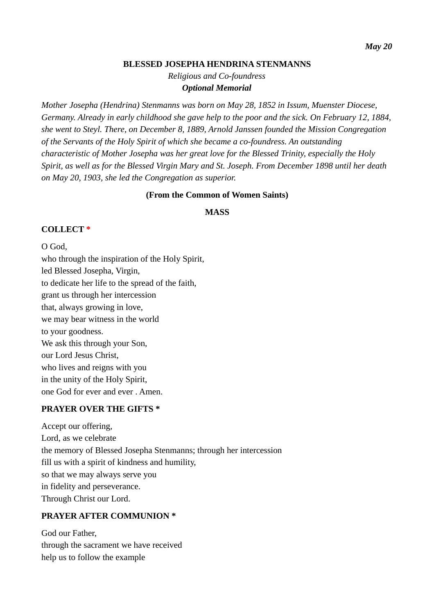#### **BLESSED JOSEPHA HENDRINA STENMANNS**

*Religious and Co-foundress Optional Memorial*

*Mother Josepha (Hendrina) Stenmanns was born on May 28, 1852 in Issum, Muenster Diocese, Germany. Already in early childhood she gave help to the poor and the sick. On February 12, 1884, she went to Steyl. There, on December 8, 1889, Arnold Janssen founded the Mission Congregation of the Servants of the Holy Spirit of which she became a co-foundress. An outstanding characteristic of Mother Josepha was her great love for the Blessed Trinity, especially the Holy Spirit, as well as for the Blessed Virgin Mary and St. Joseph. From December 1898 until her death on May 20, 1903, she led the Congregation as superior.*

### **(From the Common of Women Saints)**

### **MASS**

## **COLLECT \***

O God, who through the inspiration of the Holy Spirit, led Blessed Josepha, Virgin, to dedicate her life to the spread of the faith, grant us through her intercession that, always growing in love, we may bear witness in the world to your goodness. We ask this through your Son, our Lord Jesus Christ, who lives and reigns with you in the unity of the Holy Spirit, one God for ever and ever . Amen.

### **PRAYER OVER THE GIFTS \***

Accept our offering, Lord, as we celebrate the memory of Blessed Josepha Stenmanns; through her intercession fill us with a spirit of kindness and humility, so that we may always serve you in fidelity and perseverance. Through Christ our Lord.

### **PRAYER AFTER COMMUNION \***

God our Father, through the sacrament we have received help us to follow the example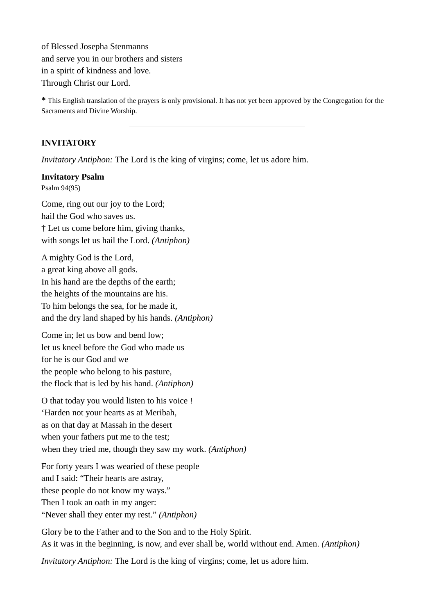of Blessed Josepha Stenmanns and serve you in our brothers and sisters in a spirit of kindness and love. Through Christ our Lord.

**\*** This English translation of the prayers is only provisional. It has not yet been approved by the Congregation for the Sacraments and Divine Worship.

# **INVITATORY**

*Invitatory Antiphon:* The Lord is the king of virgins; come, let us adore him.

#### **Invitatory Psalm**

Psalm 94(95)

Come, ring out our joy to the Lord; hail the God who saves us. † Let us come before him, giving thanks, with songs let us hail the Lord. *(Antiphon)*

A mighty God is the Lord, a great king above all gods. In his hand are the depths of the earth; the heights of the mountains are his. To him belongs the sea, for he made it, and the dry land shaped by his hands. *(Antiphon)*

Come in; let us bow and bend low; let us kneel before the God who made us for he is our God and we the people who belong to his pasture, the flock that is led by his hand. *(Antiphon)*

O that today you would listen to his voice ! 'Harden not your hearts as at Meribah, as on that day at Massah in the desert when your fathers put me to the test; when they tried me, though they saw my work. *(Antiphon)*

For forty years I was wearied of these people and I said: "Their hearts are astray, these people do not know my ways." Then I took an oath in my anger: "Never shall they enter my rest." *(Antiphon)*

Glory be to the Father and to the Son and to the Holy Spirit. As it was in the beginning, is now, and ever shall be, world without end. Amen. *(Antiphon)*

*Invitatory Antiphon:* The Lord is the king of virgins; come, let us adore him.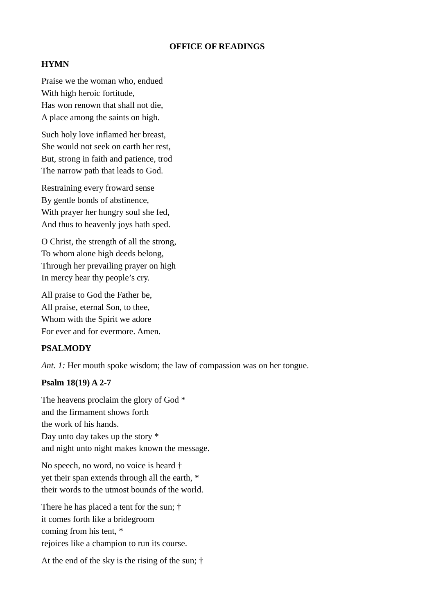#### **OFFICE OF READINGS**

#### **HYMN**

Praise we the woman who, endued With high heroic fortitude, Has won renown that shall not die, A place among the saints on high.

Such holy love inflamed her breast, She would not seek on earth her rest, But, strong in faith and patience, trod The narrow path that leads to God.

Restraining every froward sense By gentle bonds of abstinence, With prayer her hungry soul she fed, And thus to heavenly joys hath sped.

O Christ, the strength of all the strong, To whom alone high deeds belong, Through her prevailing prayer on high In mercy hear thy people's cry.

All praise to God the Father be, All praise, eternal Son, to thee, Whom with the Spirit we adore For ever and for evermore. Amen.

#### **PSALMODY**

*Ant. 1:* Her mouth spoke wisdom; the law of compassion was on her tongue.

#### **Psalm 18(19) A 2-7**

The heavens proclaim the glory of God \* and the firmament shows forth the work of his hands. Day unto day takes up the story \* and night unto night makes known the message.

No speech, no word, no voice is heard † yet their span extends through all the earth, \* their words to the utmost bounds of the world.

There he has placed a tent for the sun; † it comes forth like a bridegroom coming from his tent, \* rejoices like a champion to run its course.

At the end of the sky is the rising of the sun; †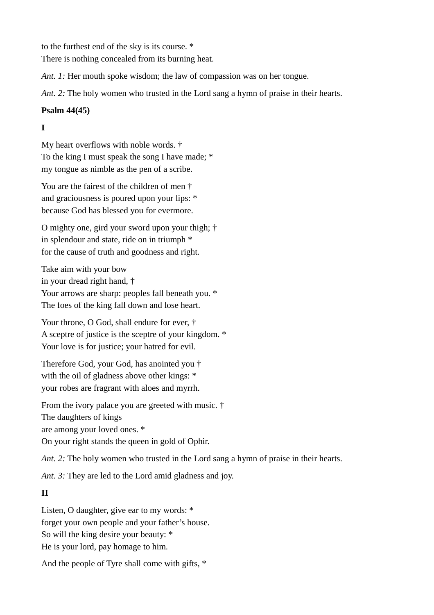to the furthest end of the sky is its course. \*

There is nothing concealed from its burning heat.

*Ant. 1:* Her mouth spoke wisdom; the law of compassion was on her tongue.

*Ant. 2:* The holy women who trusted in the Lord sang a hymn of praise in their hearts.

# **Psalm 44(45)**

# **I**

My heart overflows with noble words. † To the king I must speak the song I have made; \* my tongue as nimble as the pen of a scribe.

You are the fairest of the children of men † and graciousness is poured upon your lips: \* because God has blessed you for evermore.

O mighty one, gird your sword upon your thigh; † in splendour and state, ride on in triumph \* for the cause of truth and goodness and right.

Take aim with your bow in your dread right hand, † Your arrows are sharp: peoples fall beneath you. \* The foes of the king fall down and lose heart.

Your throne, O God, shall endure for ever, † A sceptre of justice is the sceptre of your kingdom. \* Your love is for justice; your hatred for evil.

Therefore God, your God, has anointed you † with the oil of gladness above other kings: \* your robes are fragrant with aloes and myrrh.

From the ivory palace you are greeted with music. † The daughters of kings are among your loved ones. \*

On your right stands the queen in gold of Ophir.

*Ant. 2:* The holy women who trusted in the Lord sang a hymn of praise in their hearts.

*Ant. 3:* They are led to the Lord amid gladness and joy.

# **II**

Listen, O daughter, give ear to my words: \* forget your own people and your father's house. So will the king desire your beauty: \* He is your lord, pay homage to him.

And the people of Tyre shall come with gifts, \*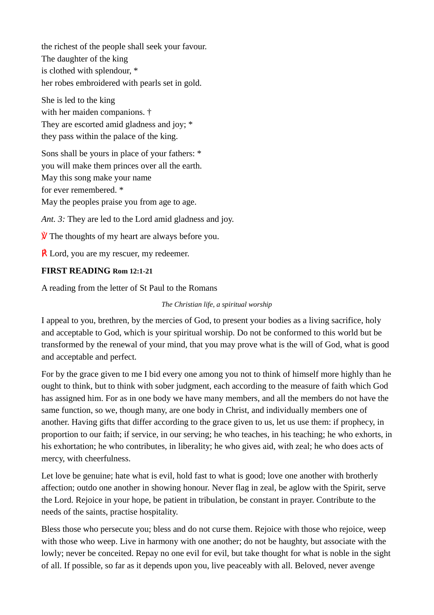the richest of the people shall seek your favour. The daughter of the king is clothed with splendour, \* her robes embroidered with pearls set in gold.

She is led to the king with her maiden companions. † They are escorted amid gladness and joy; \* they pass within the palace of the king.

Sons shall be yours in place of your fathers: \* you will make them princes over all the earth. May this song make your name for ever remembered. \* May the peoples praise you from age to age.

*Ant. 3:* They are led to the Lord amid gladness and joy.

 $\hat{V}$  The thoughts of my heart are always before you.

 $\overline{R}$  Lord, you are my rescuer, my redeemer.

### **FIRST READING Rom 12:1-21**

A reading from the letter of St Paul to the Romans

#### *The Christian life, a spiritual worship*

I appeal to you, brethren, by the mercies of God, to present your bodies as a living sacrifice, holy and acceptable to God, which is your spiritual worship. Do not be conformed to this world but be transformed by the renewal of your mind, that you may prove what is the will of God, what is good and acceptable and perfect.

For by the grace given to me I bid every one among you not to think of himself more highly than he ought to think, but to think with sober judgment, each according to the measure of faith which God has assigned him. For as in one body we have many members, and all the members do not have the same function, so we, though many, are one body in Christ, and individually members one of another. Having gifts that differ according to the grace given to us, let us use them: if prophecy, in proportion to our faith; if service, in our serving; he who teaches, in his teaching; he who exhorts, in his exhortation; he who contributes, in liberality; he who gives aid, with zeal; he who does acts of mercy, with cheerfulness.

Let love be genuine; hate what is evil, hold fast to what is good; love one another with brotherly affection; outdo one another in showing honour. Never flag in zeal, be aglow with the Spirit, serve the Lord. Rejoice in your hope, be patient in tribulation, be constant in prayer. Contribute to the needs of the saints, practise hospitality.

Bless those who persecute you; bless and do not curse them. Rejoice with those who rejoice, weep with those who weep. Live in harmony with one another; do not be haughty, but associate with the lowly; never be conceited. Repay no one evil for evil, but take thought for what is noble in the sight of all. If possible, so far as it depends upon you, live peaceably with all. Beloved, never avenge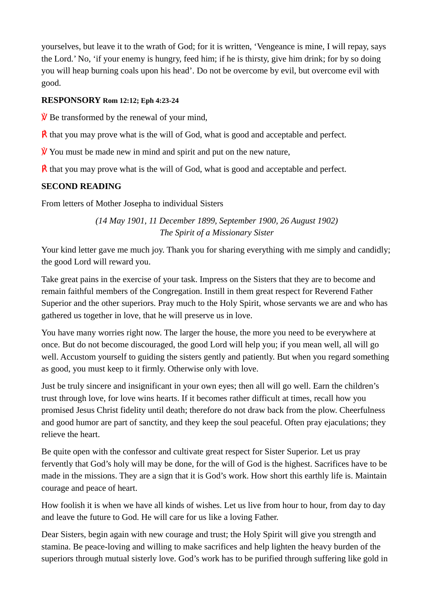yourselves, but leave it to the wrath of God; for it is written, 'Vengeance is mine, I will repay, says the Lord.' No, 'if your enemy is hungry, feed him; if he is thirsty, give him drink; for by so doing you will heap burning coals upon his head'. Do not be overcome by evil, but overcome evil with good.

# **RESPONSORY Rom 12:12; Eph 4:23-24**

 $\hat{V}$  Be transformed by the renewal of your mind,

 $\mathbf{\hat{R}}$  that you may prove what is the will of God, what is good and acceptable and perfect.

 $\hat{V}$  You must be made new in mind and spirit and put on the new nature,

 $\mathbf{\vec{R}}$  that you may prove what is the will of God, what is good and acceptable and perfect.

# **SECOND READING**

From letters of Mother Josepha to individual Sisters

*(14 May 1901, 11 December 1899, September 1900, 26 August 1902) The Spirit of a Missionary Sister*

Your kind letter gave me much joy. Thank you for sharing everything with me simply and candidly; the good Lord will reward you.

Take great pains in the exercise of your task. Impress on the Sisters that they are to become and remain faithful members of the Congregation. Instill in them great respect for Reverend Father Superior and the other superiors. Pray much to the Holy Spirit, whose servants we are and who has gathered us together in love, that he will preserve us in love.

You have many worries right now. The larger the house, the more you need to be everywhere at once. But do not become discouraged, the good Lord will help you; if you mean well, all will go well. Accustom yourself to guiding the sisters gently and patiently. But when you regard something as good, you must keep to it firmly. Otherwise only with love.

Just be truly sincere and insignificant in your own eyes; then all will go well. Earn the children's trust through love, for love wins hearts. If it becomes rather difficult at times, recall how you promised Jesus Christ fidelity until death; therefore do not draw back from the plow. Cheerfulness and good humor are part of sanctity, and they keep the soul peaceful. Often pray ejaculations; they relieve the heart.

Be quite open with the confessor and cultivate great respect for Sister Superior. Let us pray fervently that God's holy will may be done, for the will of God is the highest. Sacrifices have to be made in the missions. They are a sign that it is God's work. How short this earthly life is. Maintain courage and peace of heart.

How foolish it is when we have all kinds of wishes. Let us live from hour to hour, from day to day and leave the future to God. He will care for us like a loving Father.

Dear Sisters, begin again with new courage and trust; the Holy Spirit will give you strength and stamina. Be peace-loving and willing to make sacrifices and help lighten the heavy burden of the superiors through mutual sisterly love. God's work has to be purified through suffering like gold in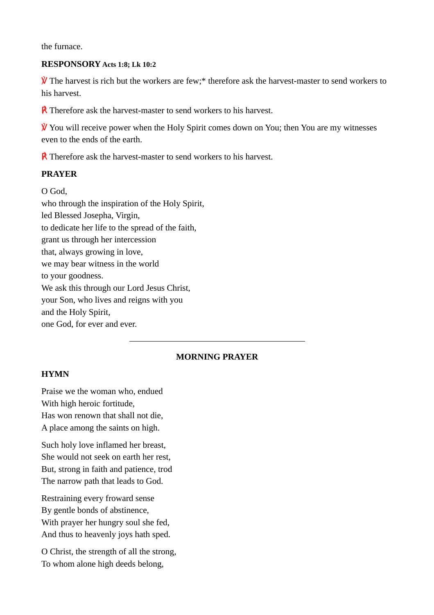the furnace.

#### **RESPONSORY Acts 1:8; Lk 10:2**

 $\mathcal{V}$  The harvest is rich but the workers are few;\* therefore ask the harvest-master to send workers to his harvest.

**R** Therefore ask the harvest-master to send workers to his harvest.

 $\mathcal{V}$  You will receive power when the Holy Spirit comes down on You; then You are my witnesses even to the ends of the earth.

**R** Therefore ask the harvest-master to send workers to his harvest.

#### **PRAYER**

O God,

who through the inspiration of the Holy Spirit, led Blessed Josepha, Virgin, to dedicate her life to the spread of the faith, grant us through her intercession that, always growing in love, we may bear witness in the world to your goodness. We ask this through our Lord Jesus Christ, your Son, who lives and reigns with you and the Holy Spirit, one God, for ever and ever.

## **MORNING PRAYER**

#### **HYMN**

Praise we the woman who, endued With high heroic fortitude, Has won renown that shall not die, A place among the saints on high.

Such holy love inflamed her breast, She would not seek on earth her rest, But, strong in faith and patience, trod The narrow path that leads to God.

Restraining every froward sense By gentle bonds of abstinence, With prayer her hungry soul she fed, And thus to heavenly joys hath sped.

O Christ, the strength of all the strong, To whom alone high deeds belong,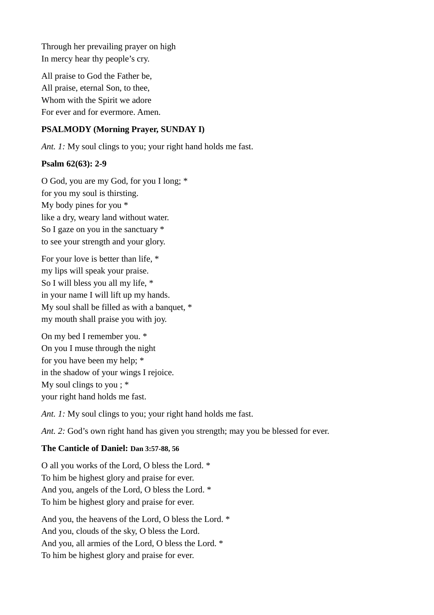Through her prevailing prayer on high In mercy hear thy people's cry.

All praise to God the Father be, All praise, eternal Son, to thee, Whom with the Spirit we adore For ever and for evermore. Amen.

# **PSALMODY (Morning Prayer, SUNDAY I)**

*Ant. 1:* My soul clings to you; your right hand holds me fast.

### **Psalm 62(63): 2-9**

O God, you are my God, for you I long; \* for you my soul is thirsting. My body pines for you \* like a dry, weary land without water. So I gaze on you in the sanctuary \* to see your strength and your glory.

For your love is better than life, \* my lips will speak your praise. So I will bless you all my life, \* in your name I will lift up my hands. My soul shall be filled as with a banquet, \* my mouth shall praise you with joy.

On my bed I remember you. \* On you I muse through the night for you have been my help; \* in the shadow of your wings I rejoice. My soul clings to you;  $*$ your right hand holds me fast.

*Ant. 1:* My soul clings to you; your right hand holds me fast.

*Ant. 2:* God's own right hand has given you strength; may you be blessed for ever.

### **The Canticle of Daniel: Dan 3:57-88, 56**

O all you works of the Lord, O bless the Lord. \* To him be highest glory and praise for ever. And you, angels of the Lord, O bless the Lord. \* To him be highest glory and praise for ever.

And you, the heavens of the Lord, O bless the Lord. \* And you, clouds of the sky, O bless the Lord. And you, all armies of the Lord, O bless the Lord. \* To him be highest glory and praise for ever.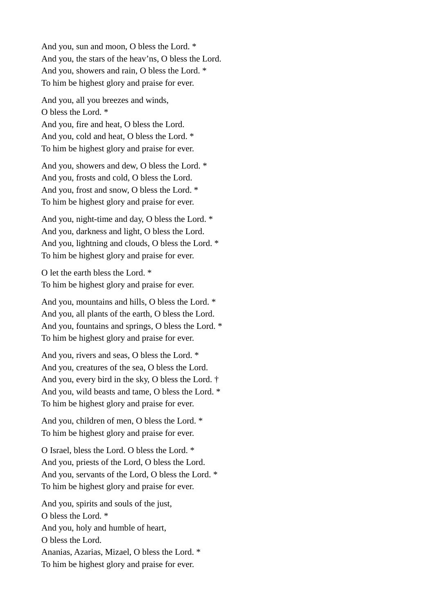And you, sun and moon, O bless the Lord. \* And you, the stars of the heav'ns, O bless the Lord. And you, showers and rain, O bless the Lord. \* To him be highest glory and praise for ever.

And you, all you breezes and winds, O bless the Lord. \* And you, fire and heat, O bless the Lord. And you, cold and heat, O bless the Lord. \* To him be highest glory and praise for ever.

And you, showers and dew, O bless the Lord. \* And you, frosts and cold, O bless the Lord. And you, frost and snow, O bless the Lord. \* To him be highest glory and praise for ever.

And you, night-time and day, O bless the Lord. \* And you, darkness and light, O bless the Lord. And you, lightning and clouds, O bless the Lord. \* To him be highest glory and praise for ever.

O let the earth bless the Lord. \* To him be highest glory and praise for ever.

And you, mountains and hills, O bless the Lord. \* And you, all plants of the earth, O bless the Lord. And you, fountains and springs, O bless the Lord. \* To him be highest glory and praise for ever.

And you, rivers and seas, O bless the Lord. \* And you, creatures of the sea, O bless the Lord. And you, every bird in the sky, O bless the Lord. † And you, wild beasts and tame, O bless the Lord. \* To him be highest glory and praise for ever.

And you, children of men, O bless the Lord. \* To him be highest glory and praise for ever.

O Israel, bless the Lord. O bless the Lord. \* And you, priests of the Lord, O bless the Lord. And you, servants of the Lord, O bless the Lord. \* To him be highest glory and praise for ever.

And you, spirits and souls of the just, O bless the Lord. \* And you, holy and humble of heart, O bless the Lord. Ananias, Azarias, Mizael, O bless the Lord. \* To him be highest glory and praise for ever.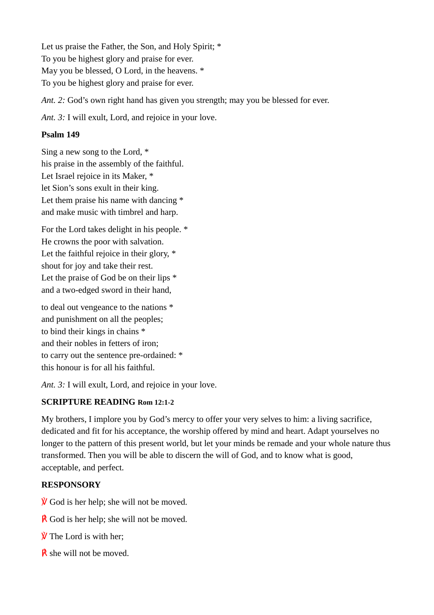Let us praise the Father, the Son, and Holy Spirit; \* To you be highest glory and praise for ever. May you be blessed, O Lord, in the heavens. \* To you be highest glory and praise for ever.

*Ant. 2:* God's own right hand has given you strength; may you be blessed for ever.

*Ant. 3:* I will exult, Lord, and rejoice in your love.

# **Psalm 149**

Sing a new song to the Lord, \* his praise in the assembly of the faithful. Let Israel rejoice in its Maker, \* let Sion's sons exult in their king. Let them praise his name with dancing  $*$ and make music with timbrel and harp.

For the Lord takes delight in his people. \* He crowns the poor with salvation. Let the faithful rejoice in their glory,  $*$ shout for joy and take their rest. Let the praise of God be on their lips \* and a two-edged sword in their hand,

to deal out vengeance to the nations \* and punishment on all the peoples; to bind their kings in chains \* and their nobles in fetters of iron; to carry out the sentence pre-ordained: \* this honour is for all his faithful.

*Ant. 3:* I will exult, Lord, and rejoice in your love.

# **SCRIPTURE READING Rom 12:1-2**

My brothers, I implore you by God's mercy to offer your very selves to him: a living sacrifice, dedicated and fit for his acceptance, the worship offered by mind and heart. Adapt yourselves no longer to the pattern of this present world, but let your minds be remade and your whole nature thus transformed. Then you will be able to discern the will of God, and to know what is good, acceptable, and perfect.

# **RESPONSORY**

 $\hat{V}$  God is her help; she will not be moved.

- $\mathsf{\&}$  God is her help; she will not be moved.
- **V** The Lord is with her;
- $\vec{R}$  she will not be moved.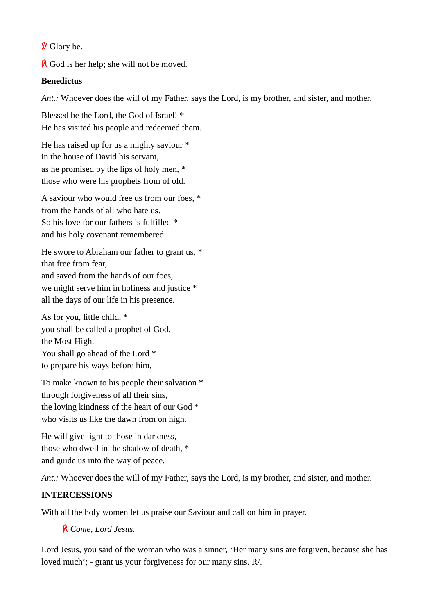$\hat{V}$  Glory be.

 $\overline{R}$  God is her help; she will not be moved.

# **Benedictus**

*Ant.:* Whoever does the will of my Father, says the Lord, is my brother, and sister, and mother.

Blessed be the Lord, the God of Israel! \* He has visited his people and redeemed them.

He has raised up for us a mighty saviour \* in the house of David his servant, as he promised by the lips of holy men, \* those who were his prophets from of old.

A saviour who would free us from our foes, \* from the hands of all who hate us. So his love for our fathers is fulfilled \* and his holy covenant remembered.

He swore to Abraham our father to grant us, \* that free from fear, and saved from the hands of our foes, we might serve him in holiness and justice \* all the days of our life in his presence.

As for you, little child, \* you shall be called a prophet of God, the Most High. You shall go ahead of the Lord  $*$ to prepare his ways before him,

To make known to his people their salvation \* through forgiveness of all their sins, the loving kindness of the heart of our God \* who visits us like the dawn from on high.

He will give light to those in darkness, those who dwell in the shadow of death, \* and guide us into the way of peace.

Ant.: Whoever does the will of my Father, says the Lord, is my brother, and sister, and mother.

# **INTERCESSIONS**

With all the holy women let us praise our Saviour and call on him in prayer.

℟ *Come, Lord Jesus.*

Lord Jesus, you said of the woman who was a sinner, 'Her many sins are forgiven, because she has loved much'; - grant us your forgiveness for our many sins. R/.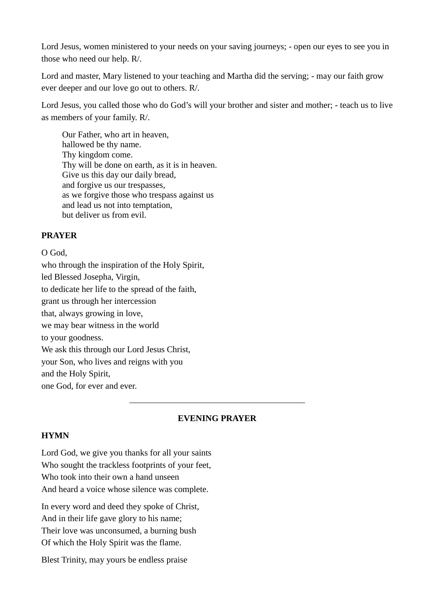Lord Jesus, women ministered to your needs on your saving journeys; - open our eyes to see you in those who need our help. R/.

Lord and master, Mary listened to your teaching and Martha did the serving; - may our faith grow ever deeper and our love go out to others. R/.

Lord Jesus, you called those who do God's will your brother and sister and mother; - teach us to live as members of your family. R/.

Our Father, who art in heaven, hallowed be thy name. Thy kingdom come. Thy will be done on earth, as it is in heaven. Give us this day our daily bread, and forgive us our trespasses, as we forgive those who trespass against us and lead us not into temptation, but deliver us from evil.

### **PRAYER**

O God, who through the inspiration of the Holy Spirit, led Blessed Josepha, Virgin, to dedicate her life to the spread of the faith, grant us through her intercession that, always growing in love, we may bear witness in the world to your goodness. We ask this through our Lord Jesus Christ, your Son, who lives and reigns with you and the Holy Spirit, one God, for ever and ever.

### **EVENING PRAYER**

# **HYMN**

Lord God, we give you thanks for all your saints Who sought the trackless footprints of your feet, Who took into their own a hand unseen And heard a voice whose silence was complete.

In every word and deed they spoke of Christ, And in their life gave glory to his name; Their love was unconsumed, a burning bush Of which the Holy Spirit was the flame.

Blest Trinity, may yours be endless praise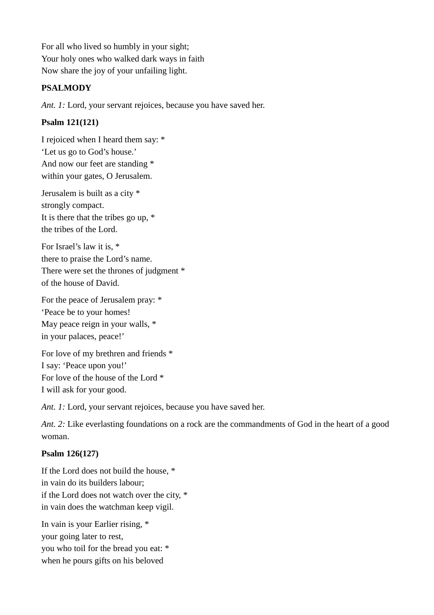For all who lived so humbly in your sight; Your holy ones who walked dark ways in faith Now share the joy of your unfailing light.

# **PSALMODY**

*Ant. 1:* Lord, your servant rejoices, because you have saved her.

# **Psalm 121(121)**

I rejoiced when I heard them say: \* 'Let us go to God's house.' And now our feet are standing \* within your gates, O Jerusalem.

Jerusalem is built as a city \* strongly compact. It is there that the tribes go up, \* the tribes of the Lord.

For Israel's law it is, \* there to praise the Lord's name. There were set the thrones of judgment \* of the house of David.

For the peace of Jerusalem pray: \* 'Peace be to your homes! May peace reign in your walls, \* in your palaces, peace!'

For love of my brethren and friends \* I say: 'Peace upon you!' For love of the house of the Lord \* I will ask for your good.

*Ant. 1:* Lord, your servant rejoices, because you have saved her.

*Ant. 2:* Like everlasting foundations on a rock are the commandments of God in the heart of a good woman.

# **Psalm 126(127)**

If the Lord does not build the house, \* in vain do its builders labour; if the Lord does not watch over the city, \* in vain does the watchman keep vigil.

In vain is your Earlier rising, \* your going later to rest, you who toil for the bread you eat: \* when he pours gifts on his beloved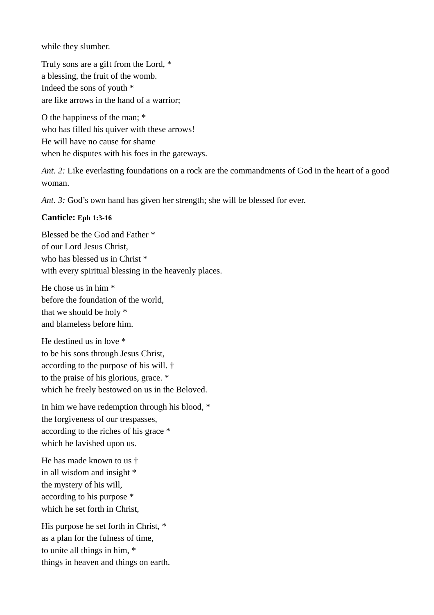while they slumber.

Truly sons are a gift from the Lord, \* a blessing, the fruit of the womb. Indeed the sons of youth \* are like arrows in the hand of a warrior;

O the happiness of the man; \* who has filled his quiver with these arrows! He will have no cause for shame when he disputes with his foes in the gateways.

*Ant. 2:* Like everlasting foundations on a rock are the commandments of God in the heart of a good woman.

*Ant. 3:* God's own hand has given her strength; she will be blessed for ever.

### **Canticle: Eph 1:3-16**

Blessed be the God and Father \* of our Lord Jesus Christ, who has blessed us in Christ \* with every spiritual blessing in the heavenly places.

He chose us in him \* before the foundation of the world, that we should be holy \* and blameless before him.

He destined us in love \* to be his sons through Jesus Christ, according to the purpose of his will. † to the praise of his glorious, grace. \* which he freely bestowed on us in the Beloved.

In him we have redemption through his blood, \* the forgiveness of our trespasses, according to the riches of his grace \* which he lavished upon us.

He has made known to us † in all wisdom and insight \* the mystery of his will, according to his purpose \* which he set forth in Christ,

His purpose he set forth in Christ, \* as a plan for the fulness of time, to unite all things in him, \* things in heaven and things on earth.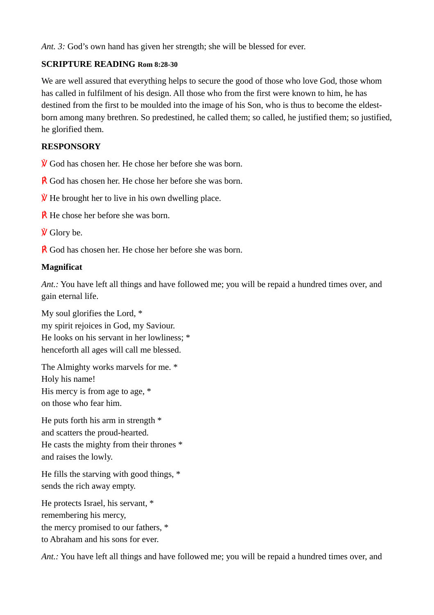*Ant. 3:* God's own hand has given her strength; she will be blessed for ever.

# **SCRIPTURE READING Rom 8:28-30**

We are well assured that everything helps to secure the good of those who love God, those whom has called in fulfilment of his design. All those who from the first were known to him, he has destined from the first to be moulded into the image of his Son, who is thus to become the eldestborn among many brethren. So predestined, he called them; so called, he justified them; so justified, he glorified them.

# **RESPONSORY**

 $\hat{V}$  God has chosen her. He chose her before she was born.

**R** God has chosen her. He chose her before she was born.

 $\hat{V}$  He brought her to live in his own dwelling place.

**R** He chose her before she was born.

 $\dot{V}$  Glory be.

**R** God has chosen her. He chose her before she was born.

### **Magnificat**

*Ant.:* You have left all things and have followed me; you will be repaid a hundred times over, and gain eternal life.

My soul glorifies the Lord, \* my spirit rejoices in God, my Saviour. He looks on his servant in her lowliness; \* henceforth all ages will call me blessed.

The Almighty works marvels for me. \* Holy his name! His mercy is from age to age, \* on those who fear him.

He puts forth his arm in strength \* and scatters the proud-hearted. He casts the mighty from their thrones \* and raises the lowly.

He fills the starving with good things, \* sends the rich away empty.

He protects Israel, his servant, \* remembering his mercy, the mercy promised to our fathers, \* to Abraham and his sons for ever.

*Ant.:* You have left all things and have followed me; you will be repaid a hundred times over, and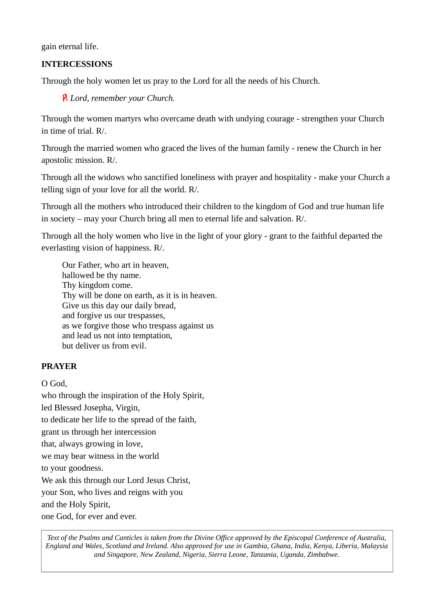gain eternal life.

## **INTERCESSIONS**

Through the holy women let us pray to the Lord for all the needs of his Church.

℟ *Lord, remember your Church.*

Through the women martyrs who overcame death with undying courage - strengthen your Church in time of trial. R/.

Through the married women who graced the lives of the human family - renew the Church in her apostolic mission. R/.

Through all the widows who sanctified loneliness with prayer and hospitality - make your Church a telling sign of your love for all the world. R/.

Through all the mothers who introduced their children to the kingdom of God and true human life in society – may your Church bring all men to eternal life and salvation. R/.

Through all the holy women who live in the light of your glory - grant to the faithful departed the everlasting vision of happiness. R/.

Our Father, who art in heaven, hallowed be thy name. Thy kingdom come. Thy will be done on earth, as it is in heaven. Give us this day our daily bread, and forgive us our trespasses, as we forgive those who trespass against us and lead us not into temptation, but deliver us from evil.

### **PRAYER**

O God,

who through the inspiration of the Holy Spirit, led Blessed Josepha, Virgin, to dedicate her life to the spread of the faith, grant us through her intercession that, always growing in love, we may bear witness in the world to your goodness. We ask this through our Lord Jesus Christ, your Son, who lives and reigns with you and the Holy Spirit, one God, for ever and ever.

*Text of the Psalms and Canticles is taken from the Divine Office approved by the Episcopal Conference of Australia, England and Wales, Scotland and Ireland. Also approved for use in Gambia, Ghana, India, Kenya, Liberia, Malaysia and Singapore, New Zealand, Nigeria, Sierra Leone, Tanzania, Uganda, Zimbabwe.*